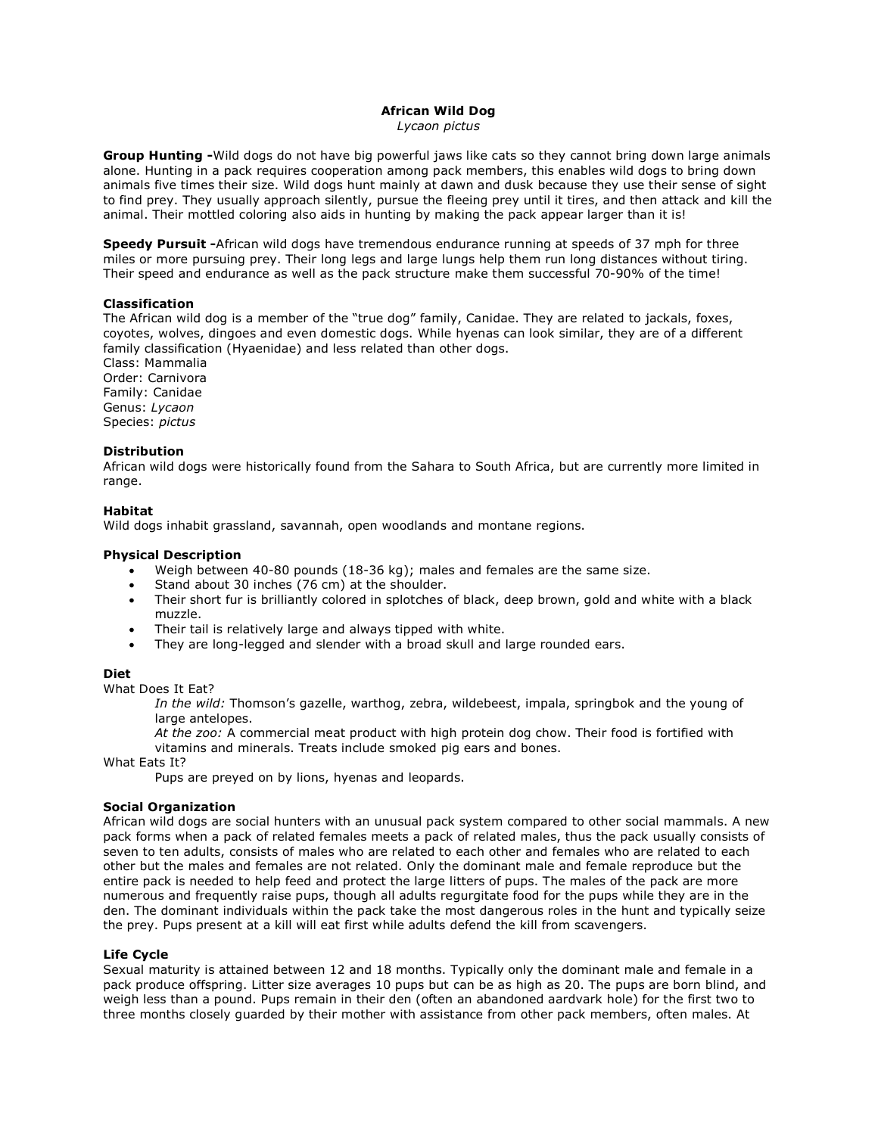# **African Wild Dog**

*Lycaon pictus*

**Group Hunting -**Wild dogs do not have big powerful jaws like cats so they cannot bring down large animals alone. Hunting in a pack requires cooperation among pack members, this enables wild dogs to bring down animals five times their size. Wild dogs hunt mainly at dawn and dusk because they use their sense of sight to find prey. They usually approach silently, pursue the fleeing prey until it tires, and then attack and kill the animal. Their mottled coloring also aids in hunting by making the pack appear larger than it is!

**Speedy Pursuit -**African wild dogs have tremendous endurance running at speeds of 37 mph for three miles or more pursuing prey. Their long legs and large lungs help them run long distances without tiring. Their speed and endurance as well as the pack structure make them successful 70-90% of the time!

# **Classification**

The African wild dog is a member of the "true dog" family, Canidae. They are related to jackals, foxes, coyotes, wolves, dingoes and even domestic dogs. While hyenas can look similar, they are of a different family classification (Hyaenidae) and less related than other dogs.

Class: Mammalia Order: Carnivora Family: Canidae Genus: *Lycaon* Species: *pictus*

# **Distribution**

African wild dogs were historically found from the Sahara to South Africa, but are currently more limited in range.

# **Habitat**

Wild dogs inhabit grassland, savannah, open woodlands and montane regions.

# **Physical Description**

- Weigh between 40-80 pounds (18-36 kg); males and females are the same size.
- Stand about 30 inches (76 cm) at the shoulder.
- Their short fur is brilliantly colored in splotches of black, deep brown, gold and white with a black muzzle.
- Their tail is relatively large and always tipped with white.
- They are long-legged and slender with a broad skull and large rounded ears.

### **Diet**

What Does It Eat?

*In the wild:* Thomson's gazelle, warthog, zebra, wildebeest, impala, springbok and the young of large antelopes.

*At the zoo:* A commercial meat product with high protein dog chow. Their food is fortified with vitamins and minerals. Treats include smoked pig ears and bones.

What Eats It?

Pups are preyed on by lions, hyenas and leopards.

### **Social Organization**

African wild dogs are social hunters with an unusual pack system compared to other social mammals. A new pack forms when a pack of related females meets a pack of related males, thus the pack usually consists of seven to ten adults, consists of males who are related to each other and females who are related to each other but the males and females are not related. Only the dominant male and female reproduce but the entire pack is needed to help feed and protect the large litters of pups. The males of the pack are more numerous and frequently raise pups, though all adults regurgitate food for the pups while they are in the den. The dominant individuals within the pack take the most dangerous roles in the hunt and typically seize the prey. Pups present at a kill will eat first while adults defend the kill from scavengers.

### **Life Cycle**

Sexual maturity is attained between 12 and 18 months. Typically only the dominant male and female in a pack produce offspring. Litter size averages 10 pups but can be as high as 20. The pups are born blind, and weigh less than a pound. Pups remain in their den (often an abandoned aardvark hole) for the first two to three months closely guarded by their mother with assistance from other pack members, often males. At